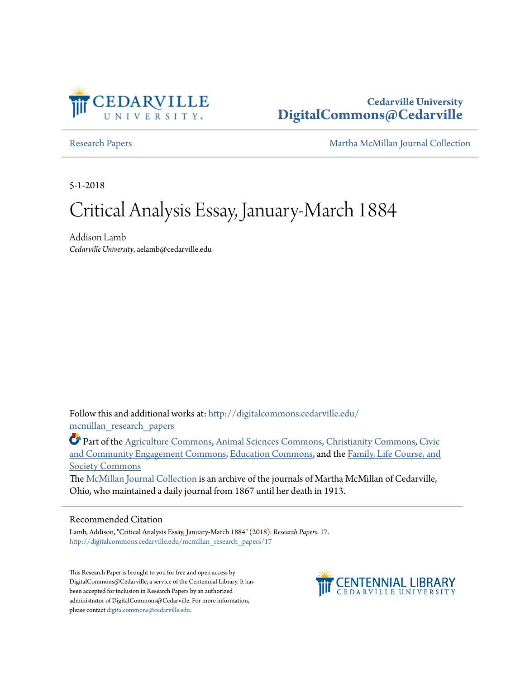

## **Cedarville University [DigitalCommons@Cedarville](http://digitalcommons.cedarville.edu?utm_source=digitalcommons.cedarville.edu%2Fmcmillan_research_papers%2F17&utm_medium=PDF&utm_campaign=PDFCoverPages)**

[Research Papers](http://digitalcommons.cedarville.edu/mcmillan_research_papers?utm_source=digitalcommons.cedarville.edu%2Fmcmillan_research_papers%2F17&utm_medium=PDF&utm_campaign=PDFCoverPages) [Martha McMillan Journal Collection](http://digitalcommons.cedarville.edu/mcmillan_journal_collection?utm_source=digitalcommons.cedarville.edu%2Fmcmillan_research_papers%2F17&utm_medium=PDF&utm_campaign=PDFCoverPages)

5-1-2018

# Critical Analysis Essay, January-March 1884

Addison Lamb *Cedarville University*, aelamb@cedarville.edu

Follow this and additional works at: [http://digitalcommons.cedarville.edu/](http://digitalcommons.cedarville.edu/mcmillan_research_papers?utm_source=digitalcommons.cedarville.edu%2Fmcmillan_research_papers%2F17&utm_medium=PDF&utm_campaign=PDFCoverPages) [mcmillan\\_research\\_papers](http://digitalcommons.cedarville.edu/mcmillan_research_papers?utm_source=digitalcommons.cedarville.edu%2Fmcmillan_research_papers%2F17&utm_medium=PDF&utm_campaign=PDFCoverPages)

Part of the [Agriculture Commons](http://network.bepress.com/hgg/discipline/1076?utm_source=digitalcommons.cedarville.edu%2Fmcmillan_research_papers%2F17&utm_medium=PDF&utm_campaign=PDFCoverPages), [Animal Sciences Commons,](http://network.bepress.com/hgg/discipline/76?utm_source=digitalcommons.cedarville.edu%2Fmcmillan_research_papers%2F17&utm_medium=PDF&utm_campaign=PDFCoverPages) [Christianity Commons](http://network.bepress.com/hgg/discipline/1181?utm_source=digitalcommons.cedarville.edu%2Fmcmillan_research_papers%2F17&utm_medium=PDF&utm_campaign=PDFCoverPages), [Civic](http://network.bepress.com/hgg/discipline/1028?utm_source=digitalcommons.cedarville.edu%2Fmcmillan_research_papers%2F17&utm_medium=PDF&utm_campaign=PDFCoverPages) [and Community Engagement Commons,](http://network.bepress.com/hgg/discipline/1028?utm_source=digitalcommons.cedarville.edu%2Fmcmillan_research_papers%2F17&utm_medium=PDF&utm_campaign=PDFCoverPages) [Education Commons,](http://network.bepress.com/hgg/discipline/784?utm_source=digitalcommons.cedarville.edu%2Fmcmillan_research_papers%2F17&utm_medium=PDF&utm_campaign=PDFCoverPages) and the [Family, Life Course, and](http://network.bepress.com/hgg/discipline/419?utm_source=digitalcommons.cedarville.edu%2Fmcmillan_research_papers%2F17&utm_medium=PDF&utm_campaign=PDFCoverPages) [Society Commons](http://network.bepress.com/hgg/discipline/419?utm_source=digitalcommons.cedarville.edu%2Fmcmillan_research_papers%2F17&utm_medium=PDF&utm_campaign=PDFCoverPages)

The [McMillan Journal Collection](http://digitalcommons.cedarville.edu/mcmillan_journal_collection/) is an archive of the journals of Martha McMillan of Cedarville, Ohio, who maintained a daily journal from 1867 until her death in 1913.

#### Recommended Citation

Lamb, Addison, "Critical Analysis Essay, January-March 1884" (2018). *Research Papers*. 17. [http://digitalcommons.cedarville.edu/mcmillan\\_research\\_papers/17](http://digitalcommons.cedarville.edu/mcmillan_research_papers/17?utm_source=digitalcommons.cedarville.edu%2Fmcmillan_research_papers%2F17&utm_medium=PDF&utm_campaign=PDFCoverPages)

This Research Paper is brought to you for free and open access by DigitalCommons@Cedarville, a service of the Centennial Library. It has been accepted for inclusion in Research Papers by an authorized administrator of DigitalCommons@Cedarville. For more information, please contact [digitalcommons@cedarville.edu.](mailto:digitalcommons@cedarville.edu)

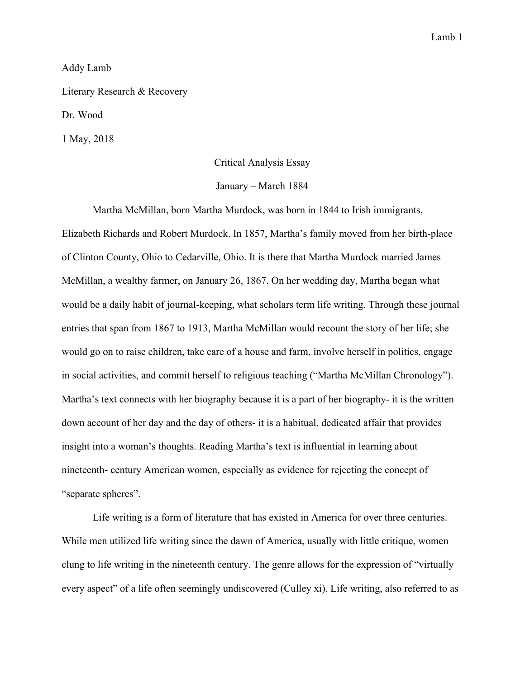#### Addy Lamb

Literary Research & Recovery

Dr. Wood

1 May, 2018

#### Critical Analysis Essay

#### January – March 1884

 Martha McMillan, born Martha Murdock, was born in 1844 to Irish immigrants, Elizabeth Richards and Robert Murdock. In 1857, Martha's family moved from her birth-place of Clinton County, Ohio to Cedarville, Ohio. It is there that Martha Murdock married James McMillan, a wealthy farmer, on January 26, 1867. On her wedding day, Martha began what would be a daily habit of journal-keeping, what scholars term life writing. Through these journal entries that span from 1867 to 1913, Martha McMillan would recount the story of her life; she would go on to raise children, take care of a house and farm, involve herself in politics, engage in social activities, and commit herself to religious teaching ("Martha McMillan Chronology"). Martha's text connects with her biography because it is a part of her biography- it is the written down account of her day and the day of others- it is a habitual, dedicated affair that provides insight into a woman's thoughts. Reading Martha's text is influential in learning about nineteenth- century American women, especially as evidence for rejecting the concept of "separate spheres".

 Life writing is a form of literature that has existed in America for over three centuries. While men utilized life writing since the dawn of America, usually with little critique, women clung to life writing in the nineteenth century. The genre allows for the expression of "virtually every aspect" of a life often seemingly undiscovered (Culley xi). Life writing, also referred to as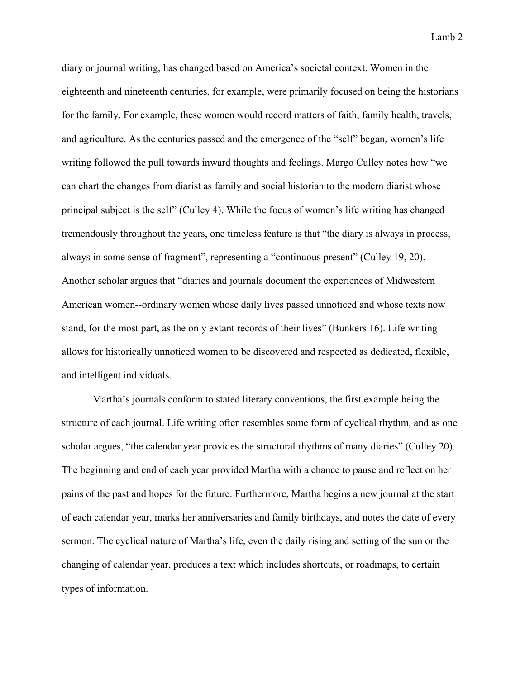diary or journal writing, has changed based on America's societal context. Women in the eighteenth and nineteenth centuries, for example, were primarily focused on being the historians for the family. For example, these women would record matters of faith, family health, travels, and agriculture. As the centuries passed and the emergence of the "self" began, women's life writing followed the pull towards inward thoughts and feelings. Margo Culley notes how "we can chart the changes from diarist as family and social historian to the modern diarist whose principal subject is the self" (Culley 4). While the focus of women's life writing has changed tremendously throughout the years, one timeless feature is that "the diary is always in process, always in some sense of fragment", representing a "continuous present" (Culley 19, 20). Another scholar argues that "diaries and journals document the experiences of Midwestern American women--ordinary women whose daily lives passed unnoticed and whose texts now stand, for the most part, as the only extant records of their lives" (Bunkers 16). Life writing allows for historically unnoticed women to be discovered and respected as dedicated, flexible, and intelligent individuals.

 Martha's journals conform to stated literary conventions, the first example being the structure of each journal. Life writing often resembles some form of cyclical rhythm, and as one scholar argues, "the calendar year provides the structural rhythms of many diaries" (Culley 20). The beginning and end of each year provided Martha with a chance to pause and reflect on her pains of the past and hopes for the future. Furthermore, Martha begins a new journal at the start of each calendar year, marks her anniversaries and family birthdays, and notes the date of every sermon. The cyclical nature of Martha's life, even the daily rising and setting of the sun or the changing of calendar year, produces a text which includes shortcuts, or roadmaps, to certain types of information.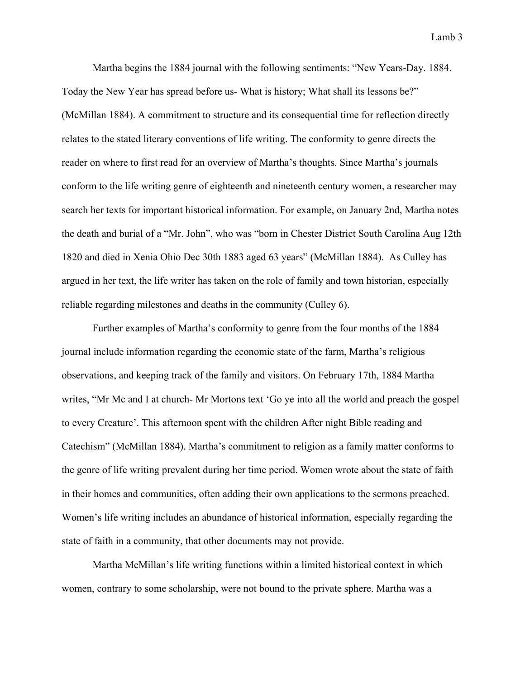Martha begins the 1884 journal with the following sentiments: "New Years-Day. 1884. Today the New Year has spread before us- What is history; What shall its lessons be?" (McMillan 1884). A commitment to structure and its consequential time for reflection directly relates to the stated literary conventions of life writing. The conformity to genre directs the reader on where to first read for an overview of Martha's thoughts. Since Martha's journals conform to the life writing genre of eighteenth and nineteenth century women, a researcher may search her texts for important historical information. For example, on January 2nd, Martha notes the death and burial of a "Mr. John", who was "born in Chester District South Carolina Aug 12th 1820 and died in Xenia Ohio Dec 30th 1883 aged 63 years" (McMillan 1884). As Culley has argued in her text, the life writer has taken on the role of family and town historian, especially reliable regarding milestones and deaths in the community (Culley 6).

 Further examples of Martha's conformity to genre from the four months of the 1884 journal include information regarding the economic state of the farm, Martha's religious observations, and keeping track of the family and visitors. On February 17th, 1884 Martha writes, "Mr Mc and I at church- Mr Mortons text 'Go ye into all the world and preach the gospel to every Creature'. This afternoon spent with the children After night Bible reading and Catechism" (McMillan 1884). Martha's commitment to religion as a family matter conforms to the genre of life writing prevalent during her time period. Women wrote about the state of faith in their homes and communities, often adding their own applications to the sermons preached. Women's life writing includes an abundance of historical information, especially regarding the state of faith in a community, that other documents may not provide.

 Martha McMillan's life writing functions within a limited historical context in which women, contrary to some scholarship, were not bound to the private sphere. Martha was a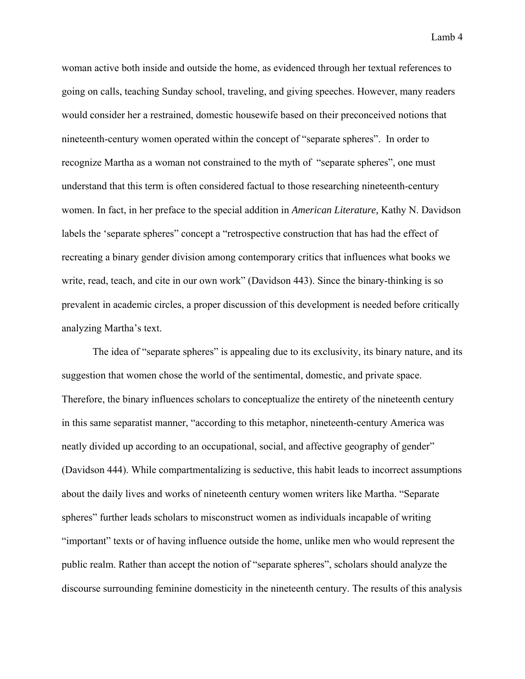woman active both inside and outside the home, as evidenced through her textual references to going on calls, teaching Sunday school, traveling, and giving speeches. However, many readers would consider her a restrained, domestic housewife based on their preconceived notions that nineteenth-century women operated within the concept of "separate spheres". In order to recognize Martha as a woman not constrained to the myth of "separate spheres", one must understand that this term is often considered factual to those researching nineteenth-century women. In fact, in her preface to the special addition in *American Literature,* Kathy N. Davidson labels the 'separate spheres" concept a "retrospective construction that has had the effect of recreating a binary gender division among contemporary critics that influences what books we write, read, teach, and cite in our own work" (Davidson 443). Since the binary-thinking is so prevalent in academic circles, a proper discussion of this development is needed before critically analyzing Martha's text.

The idea of "separate spheres" is appealing due to its exclusivity, its binary nature, and its suggestion that women chose the world of the sentimental, domestic, and private space. Therefore, the binary influences scholars to conceptualize the entirety of the nineteenth century in this same separatist manner, "according to this metaphor, nineteenth-century America was neatly divided up according to an occupational, social, and affective geography of gender" (Davidson 444). While compartmentalizing is seductive, this habit leads to incorrect assumptions about the daily lives and works of nineteenth century women writers like Martha. "Separate spheres" further leads scholars to misconstruct women as individuals incapable of writing "important" texts or of having influence outside the home, unlike men who would represent the public realm. Rather than accept the notion of "separate spheres", scholars should analyze the discourse surrounding feminine domesticity in the nineteenth century. The results of this analysis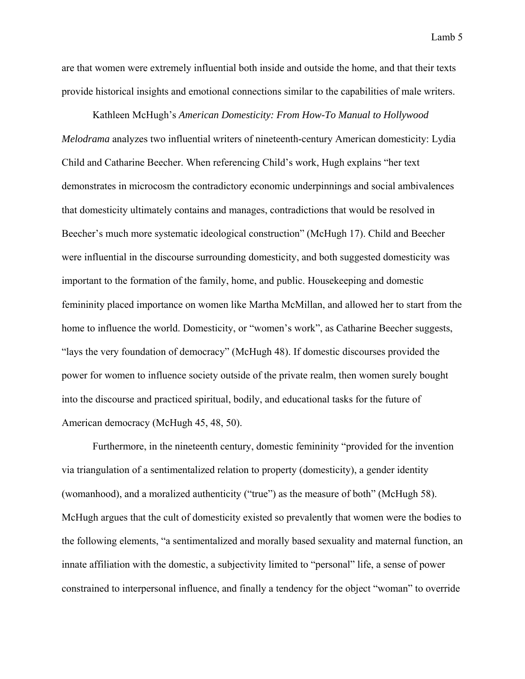are that women were extremely influential both inside and outside the home, and that their texts provide historical insights and emotional connections similar to the capabilities of male writers.

 Kathleen McHugh's *American Domesticity: From How-To Manual to Hollywood Melodrama* analyzes two influential writers of nineteenth-century American domesticity: Lydia Child and Catharine Beecher. When referencing Child's work, Hugh explains "her text demonstrates in microcosm the contradictory economic underpinnings and social ambivalences that domesticity ultimately contains and manages, contradictions that would be resolved in Beecher's much more systematic ideological construction" (McHugh 17). Child and Beecher were influential in the discourse surrounding domesticity, and both suggested domesticity was important to the formation of the family, home, and public. Housekeeping and domestic femininity placed importance on women like Martha McMillan, and allowed her to start from the home to influence the world. Domesticity, or "women's work", as Catharine Beecher suggests, "lays the very foundation of democracy" (McHugh 48). If domestic discourses provided the power for women to influence society outside of the private realm, then women surely bought into the discourse and practiced spiritual, bodily, and educational tasks for the future of American democracy (McHugh 45, 48, 50).

 Furthermore, in the nineteenth century, domestic femininity "provided for the invention via triangulation of a sentimentalized relation to property (domesticity), a gender identity (womanhood), and a moralized authenticity ("true") as the measure of both" (McHugh 58). McHugh argues that the cult of domesticity existed so prevalently that women were the bodies to the following elements, "a sentimentalized and morally based sexuality and maternal function, an innate affiliation with the domestic, a subjectivity limited to "personal" life, a sense of power constrained to interpersonal influence, and finally a tendency for the object "woman" to override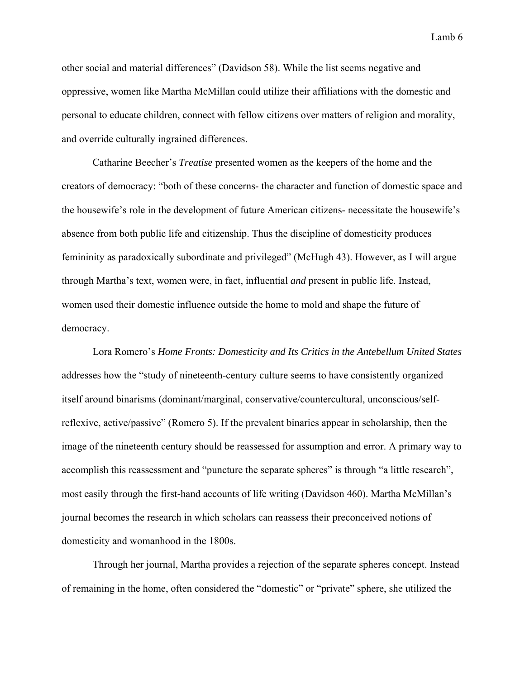other social and material differences" (Davidson 58). While the list seems negative and oppressive, women like Martha McMillan could utilize their affiliations with the domestic and personal to educate children, connect with fellow citizens over matters of religion and morality, and override culturally ingrained differences.

 Catharine Beecher's *Treatise* presented women as the keepers of the home and the creators of democracy: "both of these concerns- the character and function of domestic space and the housewife's role in the development of future American citizens- necessitate the housewife's absence from both public life and citizenship. Thus the discipline of domesticity produces femininity as paradoxically subordinate and privileged" (McHugh 43). However, as I will argue through Martha's text, women were, in fact, influential *and* present in public life. Instead, women used their domestic influence outside the home to mold and shape the future of democracy.

 Lora Romero's *Home Fronts: Domesticity and Its Critics in the Antebellum United States*  addresses how the "study of nineteenth-century culture seems to have consistently organized itself around binarisms (dominant/marginal, conservative/countercultural, unconscious/selfreflexive, active/passive" (Romero 5). If the prevalent binaries appear in scholarship, then the image of the nineteenth century should be reassessed for assumption and error. A primary way to accomplish this reassessment and "puncture the separate spheres" is through "a little research", most easily through the first-hand accounts of life writing (Davidson 460). Martha McMillan's journal becomes the research in which scholars can reassess their preconceived notions of domesticity and womanhood in the 1800s.

 Through her journal, Martha provides a rejection of the separate spheres concept. Instead of remaining in the home, often considered the "domestic" or "private" sphere, she utilized the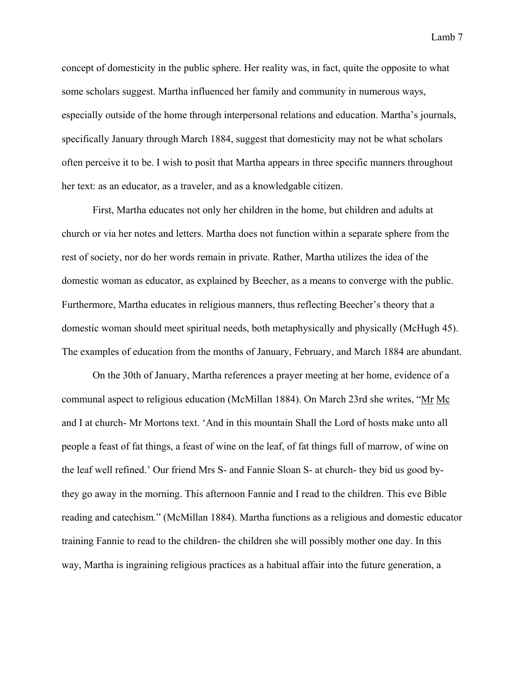concept of domesticity in the public sphere. Her reality was, in fact, quite the opposite to what some scholars suggest. Martha influenced her family and community in numerous ways, especially outside of the home through interpersonal relations and education. Martha's journals, specifically January through March 1884, suggest that domesticity may not be what scholars often perceive it to be. I wish to posit that Martha appears in three specific manners throughout her text: as an educator, as a traveler, and as a knowledgable citizen.

 First, Martha educates not only her children in the home, but children and adults at church or via her notes and letters. Martha does not function within a separate sphere from the rest of society, nor do her words remain in private. Rather, Martha utilizes the idea of the domestic woman as educator, as explained by Beecher, as a means to converge with the public. Furthermore, Martha educates in religious manners, thus reflecting Beecher's theory that a domestic woman should meet spiritual needs, both metaphysically and physically (McHugh 45). The examples of education from the months of January, February, and March 1884 are abundant.

 On the 30th of January, Martha references a prayer meeting at her home, evidence of a communal aspect to religious education (McMillan 1884). On March 23rd she writes, "Mr Mc and I at church- Mr Mortons text. 'And in this mountain Shall the Lord of hosts make unto all people a feast of fat things, a feast of wine on the leaf, of fat things full of marrow, of wine on the leaf well refined.' Our friend Mrs S- and Fannie Sloan S- at church- they bid us good bythey go away in the morning. This afternoon Fannie and I read to the children. This eve Bible reading and catechism." (McMillan 1884). Martha functions as a religious and domestic educator training Fannie to read to the children- the children she will possibly mother one day. In this way, Martha is ingraining religious practices as a habitual affair into the future generation, a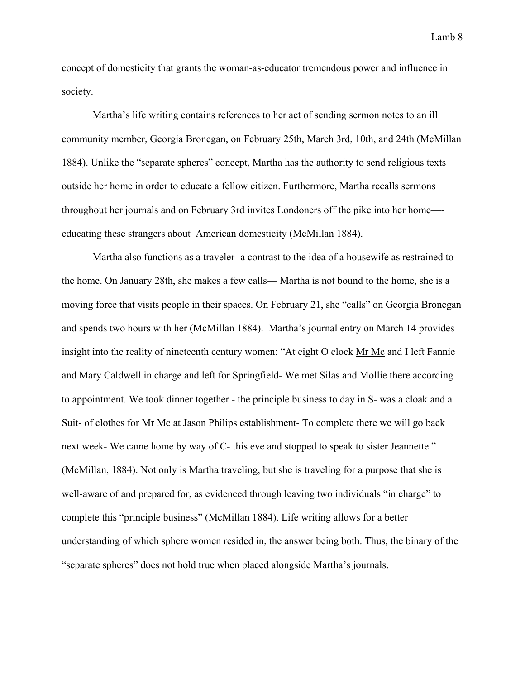concept of domesticity that grants the woman-as-educator tremendous power and influence in society.

 Martha's life writing contains references to her act of sending sermon notes to an ill community member, Georgia Bronegan, on February 25th, March 3rd, 10th, and 24th (McMillan 1884). Unlike the "separate spheres" concept, Martha has the authority to send religious texts outside her home in order to educate a fellow citizen. Furthermore, Martha recalls sermons throughout her journals and on February 3rd invites Londoners off the pike into her home— educating these strangers about American domesticity (McMillan 1884).

 Martha also functions as a traveler- a contrast to the idea of a housewife as restrained to the home. On January 28th, she makes a few calls— Martha is not bound to the home, she is a moving force that visits people in their spaces. On February 21, she "calls" on Georgia Bronegan and spends two hours with her (McMillan 1884). Martha's journal entry on March 14 provides insight into the reality of nineteenth century women: "At eight O clock Mr Mc and I left Fannie and Mary Caldwell in charge and left for Springfield- We met Silas and Mollie there according to appointment. We took dinner together - the principle business to day in S- was a cloak and a Suit- of clothes for Mr Mc at Jason Philips establishment- To complete there we will go back next week- We came home by way of C- this eve and stopped to speak to sister Jeannette." (McMillan, 1884). Not only is Martha traveling, but she is traveling for a purpose that she is well-aware of and prepared for, as evidenced through leaving two individuals "in charge" to complete this "principle business" (McMillan 1884). Life writing allows for a better understanding of which sphere women resided in, the answer being both. Thus, the binary of the "separate spheres" does not hold true when placed alongside Martha's journals.

Lamb 8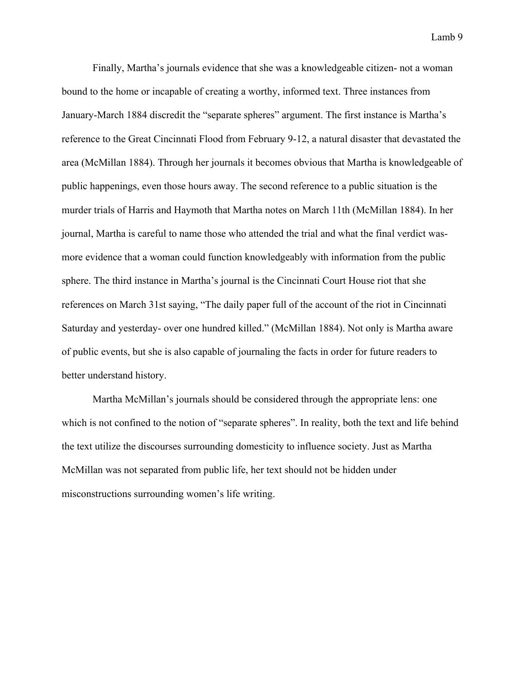Finally, Martha's journals evidence that she was a knowledgeable citizen- not a woman bound to the home or incapable of creating a worthy, informed text. Three instances from January-March 1884 discredit the "separate spheres" argument. The first instance is Martha's reference to the Great Cincinnati Flood from February 9-12, a natural disaster that devastated the area (McMillan 1884). Through her journals it becomes obvious that Martha is knowledgeable of public happenings, even those hours away. The second reference to a public situation is the murder trials of Harris and Haymoth that Martha notes on March 11th (McMillan 1884). In her journal, Martha is careful to name those who attended the trial and what the final verdict wasmore evidence that a woman could function knowledgeably with information from the public sphere. The third instance in Martha's journal is the Cincinnati Court House riot that she references on March 31st saying, "The daily paper full of the account of the riot in Cincinnati Saturday and yesterday- over one hundred killed." (McMillan 1884). Not only is Martha aware of public events, but she is also capable of journaling the facts in order for future readers to better understand history.

 Martha McMillan's journals should be considered through the appropriate lens: one which is not confined to the notion of "separate spheres". In reality, both the text and life behind the text utilize the discourses surrounding domesticity to influence society. Just as Martha McMillan was not separated from public life, her text should not be hidden under misconstructions surrounding women's life writing.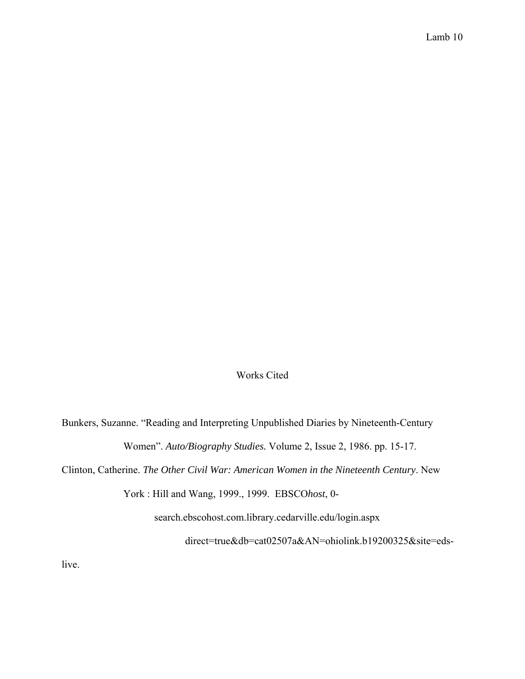### Works Cited

Bunkers, Suzanne. "Reading and Interpreting Unpublished Diaries by Nineteenth-Century Women". *Auto/Biography Studies.* Volume 2, Issue 2, 1986. pp. 15-17.

Clinton, Catherine. *The Other Civil War: American Women in the Nineteenth Century*. New

York : Hill and Wang, 1999., 1999. EBSCO*host*, 0-

search.ebscohost.com.library.cedarville.edu/login.aspx

direct=true&db=cat02507a&AN=ohiolink.b19200325&site=eds-

live.